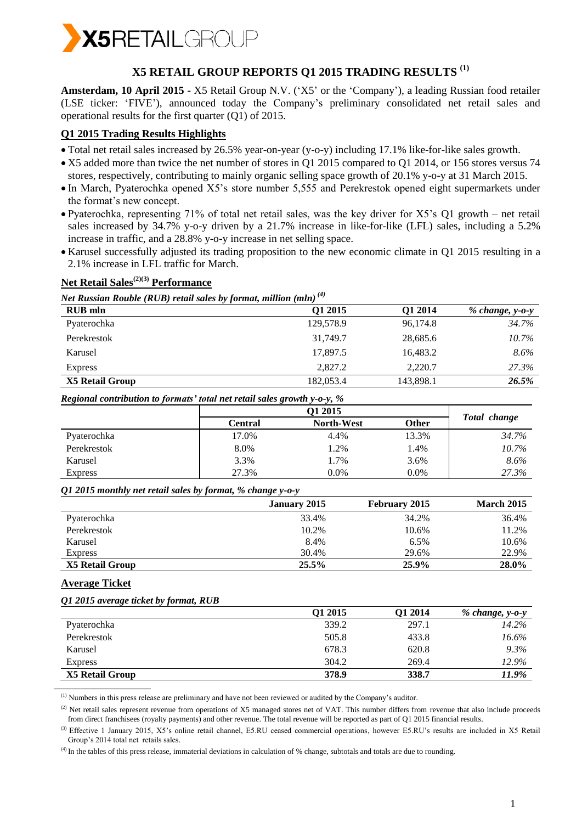

# **X5 RETAIL GROUP REPORTS Q1 2015 TRADING RESULTS (1)**

**Amsterdam, 10 April 2015 -** X5 Retail Group N.V. ('X5' or the 'Company'), a leading Russian food retailer (LSE ticker: 'FIVE'), announced today the Company's preliminary consolidated net retail sales and operational results for the first quarter (Q1) of 2015.

#### **Q1 2015 Trading Results Highlights**

- Total net retail sales increased by 26.5% year-on-year (y-o-y) including 17.1% like-for-like sales growth.
- X5 added more than twice the net number of stores in Q1 2015 compared to Q1 2014, or 156 stores versus 74 stores, respectively, contributing to mainly organic selling space growth of 20.1% y-o-y at 31 March 2015.
- In March, Pyaterochka opened X5's store number 5,555 and Perekrestok opened eight supermarkets under the format's new concept.
- Pyaterochka, representing 71% of total net retail sales, was the key driver for X5's Q1 growth net retail sales increased by 34.7% y-o-y driven by a 21.7% increase in like-for-like (LFL) sales, including a 5.2% increase in traffic, and a 28.8% y-o-y increase in net selling space.
- Karusel successfully adjusted its trading proposition to the new economic climate in Q1 2015 resulting in a 2.1% increase in LFL traffic for March.

## **Net Retail Sales(2)(3) Performance**

*Net Russian Rouble (RUB) retail sales by format, million (mln) (4)*

| <b>RUB</b> mln  | Q1 2015   | Q1 2014   | $% change, y-o-y$ |
|-----------------|-----------|-----------|-------------------|
| Pyaterochka     | 129,578.9 | 96,174.8  | 34.7%             |
| Perekrestok     | 31,749.7  | 28,685.6  | 10.7%             |
| Karusel         | 17,897.5  | 16,483.2  | $8.6\%$           |
| <b>Express</b>  | 2,827.2   | 2,220.7   | 27.3%             |
| X5 Retail Group | 182,053.4 | 143,898.1 | 26.5%             |

*Regional contribution to formats' total net retail sales growth y-o-y, %*

|                |         | <b>O1 2015</b>    |         |              |
|----------------|---------|-------------------|---------|--------------|
|                | Central | <b>North-West</b> | Other   | Total change |
| Pyaterochka    | 17.0%   | 4.4%              | 13.3%   | 34.7%        |
| Perekrestok    | 8.0%    | $.2\%$            | 1.4%    | 10.7%        |
| Karusel        | 3.3%    | $.7\%$            | 3.6%    | 8.6%         |
| <b>Express</b> | 27.3%   | $0.0\%$           | $0.0\%$ | 27.3%        |

#### *Q1 2015 monthly net retail sales by format, % change y-o-y*

|                 | January 2015 | <b>February 2015</b> | <b>March 2015</b> |
|-----------------|--------------|----------------------|-------------------|
| Pyaterochka     | 33.4%        | 34.2%                | 36.4%             |
| Perekrestok     | 10.2%        | 10.6%                | 11.2%             |
| Karusel         | 8.4%         | 6.5%                 | 10.6%             |
| <b>Express</b>  | 30.4%        | 29.6%                | 22.9%             |
| X5 Retail Group | 25.5%        | 25.9%                | 28.0%             |

## **Average Ticket**

 $\frac{1}{2}$  , and the set of the set of the set of the set of the set of the set of the set of the set of the set of the set of the set of the set of the set of the set of the set of the set of the set of the set of the set

#### *Q1 2015 average ticket by format, RUB*

|                 | Q1 2015 | O1 2014 | % change, y-o-y |
|-----------------|---------|---------|-----------------|
| Pyaterochka     | 339.2   | 297.1   | 14.2%           |
| Perekrestok     | 505.8   | 433.8   | 16.6%           |
| Karusel         | 678.3   | 620.8   | $9.3\%$         |
| <b>Express</b>  | 304.2   | 269.4   | 12.9%           |
| X5 Retail Group | 378.9   | 338.7   | 11.9%           |

(1) Numbers in this press release are preliminary and have not been reviewed or audited by the Company's auditor.

(2) Net retail sales represent revenue from operations of X5 managed stores net of VAT. This number differs from revenue that also include proceeds from direct franchisees (royalty payments) and other revenue. The total revenue will be reported as part of Q1 2015 financial results.

(3) Effective 1 January 2015, X5's online retail channel, E5.RU ceased commercial operations, however E5.RU's results are included in X5 Retail Group's 2014 total net retails sales.

 $<sup>(4)</sup>$  In the tables of this press release, immaterial deviations in calculation of % change, subtotals and totals are due to rounding.</sup>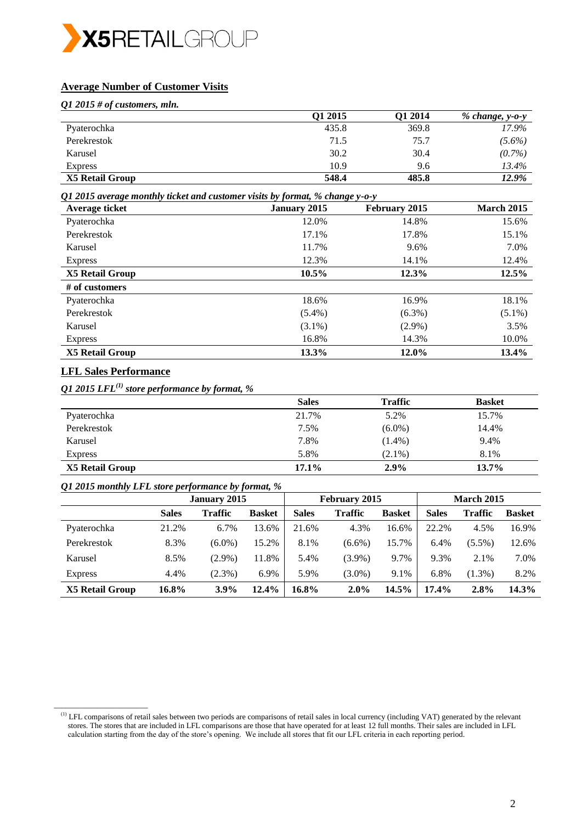

# **Average Number of Customer Visits**

*Q1 2015 # of customers, mln.*

|                 | O1 2015 | Q1 2014 | % change, y-o-y |
|-----------------|---------|---------|-----------------|
| Pyaterochka     | 435.8   | 369.8   | 17.9%           |
| Perekrestok     | 71.5    | 75.7    | $(5.6\%)$       |
| Karusel         | 30.2    | 30.4    | $(0.7\%)$       |
| <b>Express</b>  | 10.9    | 9.6     | 13.4%           |
| X5 Retail Group | 548.4   | 485.8   | 12.9%           |

*Q1 2015 average monthly ticket and customer visits by format, % change y-o-y*

| Average ticket         | <b>January 2015</b> | February 2015 | <b>March 2015</b> |
|------------------------|---------------------|---------------|-------------------|
| Pyaterochka            | 12.0%               | 14.8%         | 15.6%             |
| Perekrestok            | 17.1%               | 17.8%         | 15.1%             |
| Karusel                | 11.7%               | 9.6%          | 7.0%              |
| <b>Express</b>         | 12.3%               | 14.1%         | 12.4%             |
| <b>X5 Retail Group</b> | 10.5%               | 12.3%         | 12.5%             |
| $#$ of customers       |                     |               |                   |
| Pyaterochka            | 18.6%               | 16.9%         | 18.1%             |
| Perekrestok            | $(5.4\%)$           | $(6.3\%)$     | $(5.1\%)$         |
| Karusel                | $(3.1\%)$           | $(2.9\%)$     | 3.5%              |
| <b>Express</b>         | 16.8%               | 14.3%         | 10.0%             |
| X5 Retail Group        | 13.3%               | 12.0%         | 13.4%             |

# **LFL Sales Performance**

\_\_\_\_\_\_\_\_\_\_\_\_\_\_\_\_\_\_\_\_\_\_\_\_

*Q1 2015 LFL(1) store performance by format, %*

|                 | <b>Sales</b> | <b>Traffic</b> | <b>Basket</b> |
|-----------------|--------------|----------------|---------------|
| Pyaterochka     | 21.7%        | 5.2%           | 15.7%         |
| Perekrestok     | 7.5%         | $(6.0\%)$      | 14.4%         |
| Karusel         | 7.8%         | $(1.4\%)$      | 9.4%          |
| <b>Express</b>  | 5.8%         | $(2.1\%)$      | 8.1%          |
| X5 Retail Group | 17.1%        | $2.9\%$        | 13.7%         |

### *Q1 2015 monthly LFL store performance by format, %*

| ~               |              | <b>January 2015</b> |               |              | February 2015  |               |              | <b>March 2015</b> |               |
|-----------------|--------------|---------------------|---------------|--------------|----------------|---------------|--------------|-------------------|---------------|
|                 | <b>Sales</b> | <b>Traffic</b>      | <b>Basket</b> | <b>Sales</b> | <b>Traffic</b> | <b>Basket</b> | <b>Sales</b> | <b>Traffic</b>    | <b>Basket</b> |
| Pyaterochka     | 21.2%        | 6.7%                | 13.6%         | 21.6%        | 4.3%           | 16.6%         | 22.2%        | 4.5%              | 16.9%         |
| Perekrestok     | 8.3%         | $(6.0\%)$           | 15.2%         | 8.1%         | $(6.6\%)$      | 15.7%         | 6.4%         | $(5.5\%)$         | 12.6%         |
| Karusel         | 8.5%         | $(2.9\%)$           | 11.8%         | 5.4%         | $(3.9\%)$      | 9.7%          | 9.3%         | 2.1%              | 7.0%          |
| <b>Express</b>  | 4.4%         | $(2.3\%)$           | 6.9%          | 5.9%         | $(3.0\%)$      | 9.1%          | 6.8%         | $(1.3\%)$         | 8.2%          |
| X5 Retail Group | 16.8%        | $3.9\%$             | 12.4%         | 16.8%        | $2.0\%$        | 14.5%         | 17.4%        | 2.8%              | 14.3%         |

<sup>(1)</sup> LFL comparisons of retail sales between two periods are comparisons of retail sales in local currency (including VAT) generated by the relevant stores. The stores that are included in LFL comparisons are those that have operated for at least 12 full months. Their sales are included in LFL calculation starting from the day of the store's opening. We include all stores that fit our LFL criteria in each reporting period.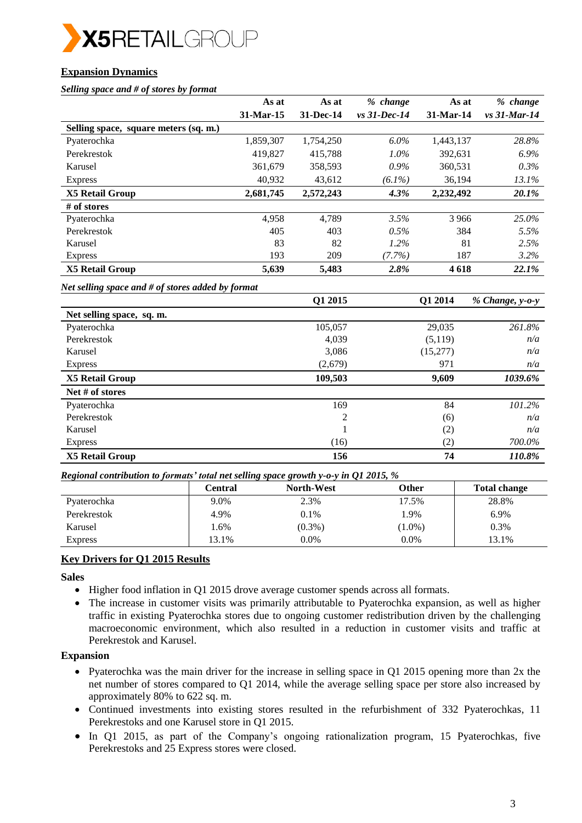

# **Expansion Dynamics**

#### *Selling space and # of stores by format*

|                                       | As at       | As at     | % change        | As at       | % change         |
|---------------------------------------|-------------|-----------|-----------------|-------------|------------------|
|                                       | $31-Mar-15$ | 31-Dec-14 | $vs. 31-Dec-14$ | $31-Mar-14$ | $vs. 31$ -Mar-14 |
| Selling space, square meters (sq. m.) |             |           |                 |             |                  |
| Pyaterochka                           | 1,859,307   | 1,754,250 | $6.0\%$         | 1,443,137   | 28.8%            |
| Perekrestok                           | 419,827     | 415,788   | $1.0\%$         | 392,631     | $6.9\%$          |
| Karusel                               | 361,679     | 358,593   | $0.9\%$         | 360,531     | $0.3\%$          |
| <b>Express</b>                        | 40,932      | 43,612    | $(6.1\%)$       | 36,194      | 13.1%            |
| <b>X5 Retail Group</b>                | 2,681,745   | 2,572,243 | 4.3%            | 2,232,492   | 20.1%            |
| $#$ of stores                         |             |           |                 |             |                  |
| Pyaterochka                           | 4.958       | 4.789     | 3.5%            | 3966        | 25.0%            |
| Perekrestok                           | 405         | 403       | 0.5%            | 384         | 5.5%             |
| Karusel                               | 83          | 82        | $1.2\%$         | 81          | 2.5%             |
| <b>Express</b>                        | 193         | 209       | $(7.7\%)$       | 187         | 3.2%             |
| X5 Retail Group                       | 5,639       | 5,483     | 2.8%            | 4 6 18      | 22.1%            |

*Net selling space and # of stores added by format*

|                           | Q1 2015 | Q1 2014  | % Change, y-o-y |
|---------------------------|---------|----------|-----------------|
| Net selling space, sq. m. |         |          |                 |
| Pyaterochka               | 105,057 | 29,035   | 261.8%          |
| Perekrestok               | 4,039   | (5,119)  | n/a             |
| Karusel                   | 3,086   | (15,277) | n/a             |
| <b>Express</b>            | (2,679) | 971      | n/a             |
| <b>X5 Retail Group</b>    | 109,503 | 9,609    | 1039.6%         |
| Net # of stores           |         |          |                 |
| Pyaterochka               | 169     | 84       | 101.2%          |
| Perekrestok               | 2       | (6)      | n/a             |
| Karusel                   |         | (2)      | n/a             |
| <b>Express</b>            | (16)    | (2)      | 700.0%          |
| <b>X5 Retail Group</b>    | 156     | 74       | 110.8%          |

#### *Regional contribution to formats' total net selling space growth y-o-y in Q1 2015, %*

| . .            | Central | <b>North-West</b> | Other     | <b>Total change</b> |
|----------------|---------|-------------------|-----------|---------------------|
| Pyaterochka    | 9.0%    | 2.3%              | 17.5%     | 28.8%               |
| Perekrestok    | 4.9%    | 0.1%              | .9%       | 6.9%                |
| Karusel        | 1.6%    | $(0.3\%)$         | $(1.0\%)$ | 0.3%                |
| <b>Express</b> | 13.1%   | $0.0\%$           | $0.0\%$   | 13.1%               |

# **Key Drivers for Q1 2015 Results**

**Sales**

- Higher food inflation in Q1 2015 drove average customer spends across all formats.
- The increase in customer visits was primarily attributable to Pyaterochka expansion, as well as higher traffic in existing Pyaterochka stores due to ongoing customer redistribution driven by the challenging macroeconomic environment, which also resulted in a reduction in customer visits and traffic at Perekrestok and Karusel.

### **Expansion**

- Pyaterochka was the main driver for the increase in selling space in Q1 2015 opening more than 2x the net number of stores compared to Q1 2014, while the average selling space per store also increased by approximately 80% to 622 sq. m.
- Continued investments into existing stores resulted in the refurbishment of 332 Pyaterochkas, 11 Perekrestoks and one Karusel store in Q1 2015.
- In Q1 2015, as part of the Company's ongoing rationalization program, 15 Pyaterochkas, five Perekrestoks and 25 Express stores were closed.